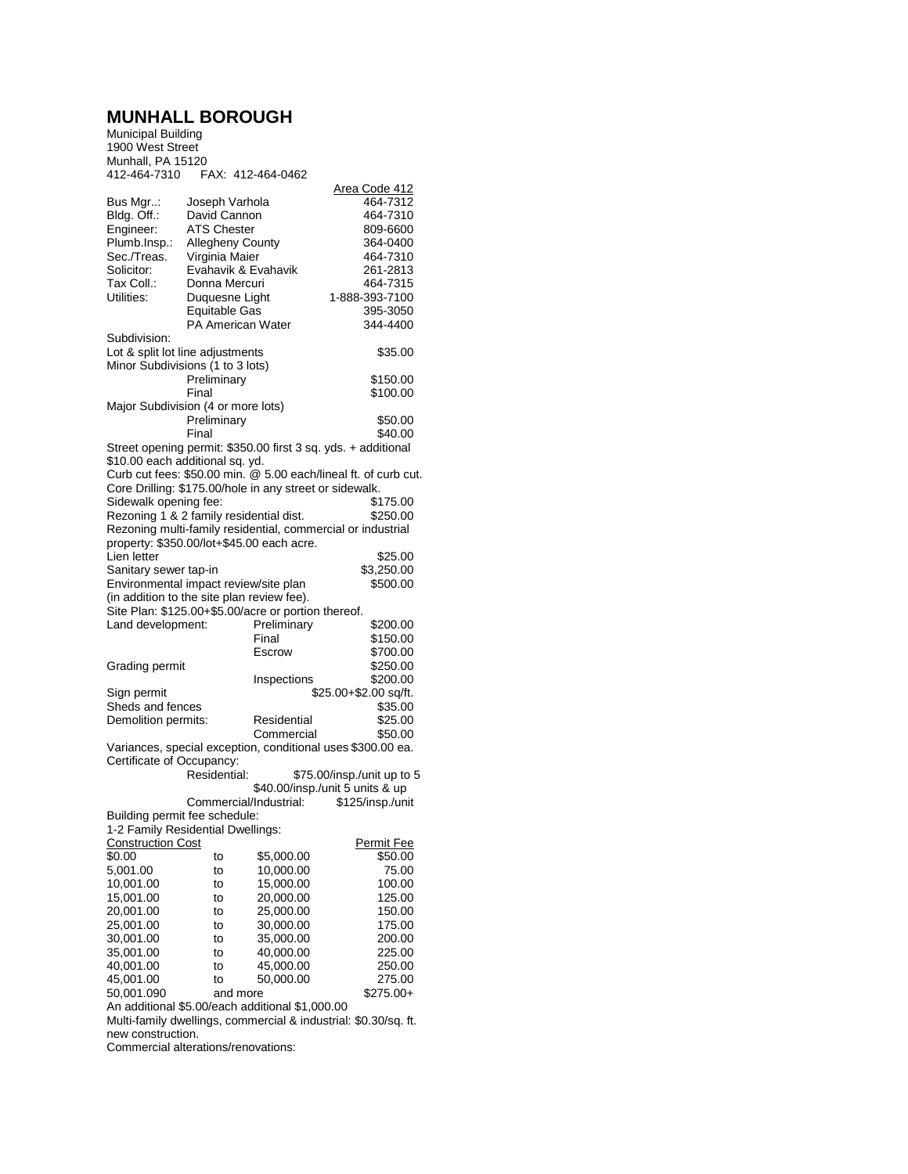## **MUNHALL BOROUGH**

Municipal Building 1900 West Street Munhall, PA 15120 412-464-7310 FAX: 412-464-0462

| <b>TIL-TUT-1010</b>                                                                                                | $171.7$ $712.707$       | +ບ∠         |                                                                 |  |  |  |
|--------------------------------------------------------------------------------------------------------------------|-------------------------|-------------|-----------------------------------------------------------------|--|--|--|
| Bus Mgr:                                                                                                           | Joseph Varhola          |             | Area Code 412<br>464-7312                                       |  |  |  |
| Bldg. Off.:                                                                                                        | David Cannon            |             | 464-7310                                                        |  |  |  |
| Engineer:                                                                                                          | <b>ATS Chester</b>      |             | 809-6600                                                        |  |  |  |
| Plumb.Insp.:                                                                                                       | <b>Allegheny County</b> |             | 364-0400                                                        |  |  |  |
| Sec./Treas.                                                                                                        | Virginia Maier          |             | 464-7310                                                        |  |  |  |
| Solicitor:                                                                                                         | Evahavik & Evahavik     |             | 261-2813                                                        |  |  |  |
| Tax Coll.:                                                                                                         | Donna Mercuri           |             | 464-7315                                                        |  |  |  |
| Utilities:                                                                                                         | Duquesne Light          |             | 1-888-393-7100                                                  |  |  |  |
|                                                                                                                    | Equitable Gas           |             | 395-3050                                                        |  |  |  |
|                                                                                                                    | PA American Water       |             | 344-4400                                                        |  |  |  |
| Subdivision:                                                                                                       |                         |             |                                                                 |  |  |  |
| Lot & split lot line adjustments<br>\$35.00                                                                        |                         |             |                                                                 |  |  |  |
| Minor Subdivisions (1 to 3 lots)                                                                                   |                         |             |                                                                 |  |  |  |
|                                                                                                                    | Preliminary             |             | \$150.00                                                        |  |  |  |
|                                                                                                                    | Final                   |             | \$100.00                                                        |  |  |  |
| Major Subdivision (4 or more lots)                                                                                 |                         |             |                                                                 |  |  |  |
|                                                                                                                    | Preliminary             |             | \$50.00                                                         |  |  |  |
|                                                                                                                    | Final                   |             | \$40.00                                                         |  |  |  |
|                                                                                                                    |                         |             | Street opening permit: \$350.00 first 3 sq. yds. + additional   |  |  |  |
| \$10.00 each additional sq. yd.                                                                                    |                         |             |                                                                 |  |  |  |
|                                                                                                                    |                         |             | Curb cut fees: \$50.00 min. @ 5.00 each/lineal ft. of curb cut. |  |  |  |
| Core Drilling: \$175.00/hole in any street or sidewalk.                                                            |                         |             |                                                                 |  |  |  |
| Sidewalk opening fee:                                                                                              |                         |             | \$175.00                                                        |  |  |  |
| Rezoning 1 & 2 family residential dist.                                                                            |                         |             | \$250.00                                                        |  |  |  |
| Rezoning multi-family residential, commercial or industrial<br>property: \$350.00/lot+\$45.00 each acre.           |                         |             |                                                                 |  |  |  |
|                                                                                                                    |                         |             |                                                                 |  |  |  |
| Lien letter                                                                                                        |                         |             | \$25.00<br>\$3,250.00                                           |  |  |  |
| Sanitary sewer tap-in                                                                                              |                         |             | \$500.00                                                        |  |  |  |
| Environmental impact review/site plan<br>(in addition to the site plan review fee).                                |                         |             |                                                                 |  |  |  |
| Site Plan: \$125.00+\$5.00/acre or portion thereof.                                                                |                         |             |                                                                 |  |  |  |
| Land development:                                                                                                  |                         | Preliminary | \$200.00                                                        |  |  |  |
|                                                                                                                    |                         | Final       | \$150.00                                                        |  |  |  |
|                                                                                                                    |                         | Escrow      | \$700.00                                                        |  |  |  |
| Grading permit                                                                                                     |                         |             | \$250.00                                                        |  |  |  |
|                                                                                                                    |                         | Inspections | \$200.00                                                        |  |  |  |
| Sign permit                                                                                                        |                         |             | \$25.00+\$2.00 sq/ft.                                           |  |  |  |
| Sheds and fences                                                                                                   |                         |             | \$35.00                                                         |  |  |  |
| Demolition permits:                                                                                                |                         | Residential | \$25.00                                                         |  |  |  |
|                                                                                                                    |                         | Commercial  | \$50.00                                                         |  |  |  |
|                                                                                                                    |                         |             | Variances, special exception, conditional uses \$300.00 ea.     |  |  |  |
| Certificate of Occupancy:                                                                                          |                         |             |                                                                 |  |  |  |
|                                                                                                                    | Residential:            |             | \$75.00/insp./unit up to 5                                      |  |  |  |
|                                                                                                                    |                         |             | \$40.00/insp./unit 5 units & up                                 |  |  |  |
|                                                                                                                    | Commercial/Industrial:  |             | \$125/insp./unit                                                |  |  |  |
| Building permit fee schedule:                                                                                      |                         |             |                                                                 |  |  |  |
| 1-2 Family Residential Dwellings:                                                                                  |                         |             |                                                                 |  |  |  |
| <b>Construction Cost</b>                                                                                           |                         |             | Permit Fee                                                      |  |  |  |
| \$0.00                                                                                                             | to                      | \$5,000.00  | \$50.00                                                         |  |  |  |
| 5,001.00                                                                                                           | to                      | 10,000.00   | 75.00                                                           |  |  |  |
| 10,001.00                                                                                                          | to                      | 15,000.00   | 100.00                                                          |  |  |  |
| 15,001.00                                                                                                          | to                      | 20,000.00   | 125.00                                                          |  |  |  |
| 20,001.00                                                                                                          | to                      | 25,000.00   | 150.00                                                          |  |  |  |
| 25,001.00                                                                                                          | to                      | 30,000.00   | 175.00                                                          |  |  |  |
| 30,001.00                                                                                                          | to                      | 35,000.00   | 200.00                                                          |  |  |  |
| 35,001.00                                                                                                          | to                      | 40.000.00   | 225.00                                                          |  |  |  |
| 40,001.00                                                                                                          | to                      | 45,000.00   | 250.00                                                          |  |  |  |
| 45,001.00                                                                                                          | to                      | 50,000.00   | 275.00                                                          |  |  |  |
| 50,001.090                                                                                                         | and more                |             | $$275.00+$                                                      |  |  |  |
| An additional \$5.00/each additional \$1,000.00<br>Multi-family dwellings, commercial & industrial: \$0.30/sq. ft. |                         |             |                                                                 |  |  |  |
|                                                                                                                    |                         |             |                                                                 |  |  |  |
| new construction.                                                                                                  |                         |             |                                                                 |  |  |  |

Commercial alterations/renovations: